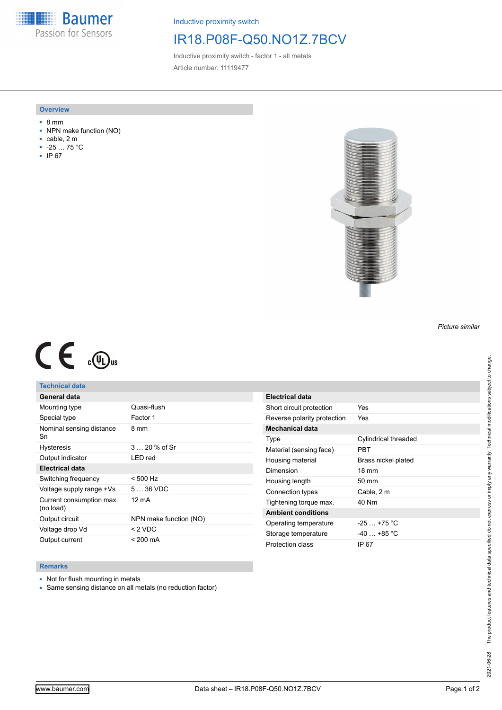**Baumer** Passion for Sensors

Inductive proximity switch

# IR18.P08F-Q50.NO1Z.7BCV

Inductive proximity switch - factor 1 - all metals Article number: 11119477

#### **Overview**

- 8 mm
- NPN make function (NO)
- cable, 2 m
- -25 … 75 °C
- IP 67



## *Picture similar*

# $C \in \mathbb{C}$

## **Technical data**

| General data                          |                        |
|---------------------------------------|------------------------|
| Mounting type                         | Quasi-flush            |
| Special type                          | Factor 1               |
| Nominal sensing distance<br>Sn        | 8 mm                   |
| <b>Hysteresis</b>                     | 3  20 % of Sr          |
| Output indicator                      | LED red                |
| <b>Electrical data</b>                |                        |
| Switching frequency                   | $< 500$ Hz             |
| Voltage supply range +Vs              | 5  36 VDC              |
| Current consumption max.<br>(no load) | 12 mA                  |
| Output circuit                        | NPN make function (NO) |
| Voltage drop Vd                       | < 2 VDC                |
| Output current                        | $< 200 \text{ mA}$     |

### **Remarks**

- Not for flush mounting in metals
- Same sensing distance on all metals (no reduction factor)

| Electrical data             |                      |
|-----------------------------|----------------------|
| Short circuit protection    | Yes                  |
| Reverse polarity protection | Yes                  |
| Mechanical data             |                      |
| Type                        | Cylindrical threaded |
| Material (sensing face)     | PRT                  |
| Housing material            | Brass nickel plated  |
| Dimension                   | $18 \text{ mm}$      |
| Housing length              | 50 mm                |
| Connection types            | Cable, 2 m           |
| Tightening torque max.      | 40 Nm                |
| <b>Ambient conditions</b>   |                      |
| Operating temperature       | $-25 + 75$ °C        |
| Storage temperature         | $-40 + 85$ °C        |
| Protection class            | IP 67                |